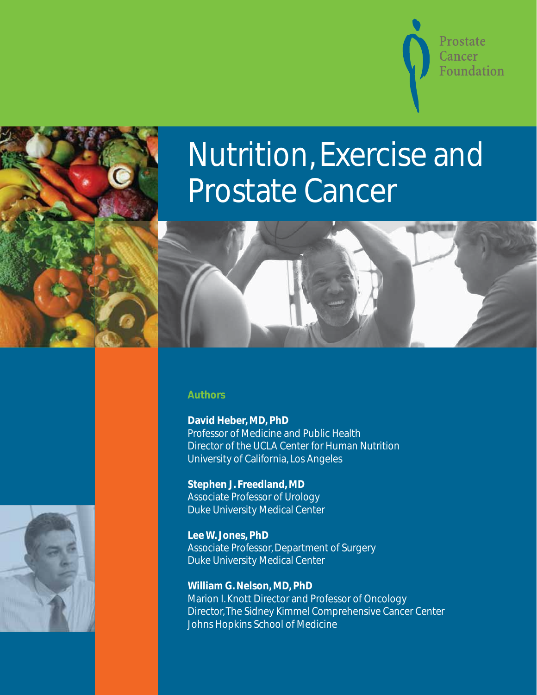



# Nutrition, Exercise and Prostate Cancer



# **Authors**

**David Heber, MD, PhD** Professor of Medicine and Public Health Director of the UCLA Center for Human Nutrition University of California, Los Angeles

**Stephen J. Freedland, MD** Associate Professor of Urology Duke University Medical Center

**Lee W. Jones, PhD** Associate Professor, Department of Surgery Duke University Medical Center

# **William G. Nelson, MD, PhD**

Marion I. Knott Director and Professor of Oncology Director, The Sidney Kimmel Comprehensive Cancer Center Johns Hopkins School of Medicine

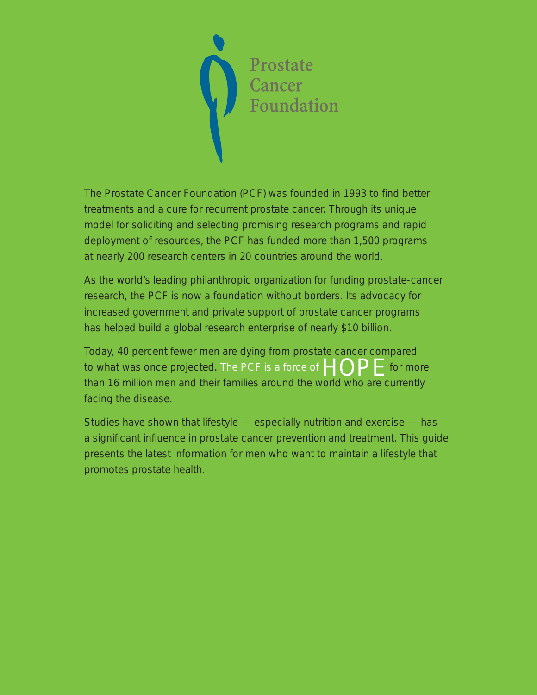

The Prostate Cancer Foundation (PCF) was founded in 1993 to find better treatments and a cure for recurrent prostate cancer. Through its unique model for soliciting and selecting promising research programs and rapid deployment of resources, the PCF has funded more than 1,500 programs at nearly 200 research centers in 20 countries around the world.

As the world's leading philanthropic organization for funding prostate-cancer research, the PCF is now a foundation without borders. Its advocacy for increased government and private support of prostate cancer programs has helped build a global research enterprise of nearly \$10 billion.

Today, 40 percent fewer men are dying from prostate cancer compared to what was once projected. The PCF is a force of  $\Box$   $\Box$   $\Box$  for more than 16 million men and their families around the world who are currently facing the disease.

Studies have shown that lifestyle — especially nutrition and exercise — has a significant influence in prostate cancer prevention and treatment. This guide presents the latest information for men who want to maintain a lifestyle that promotes prostate health.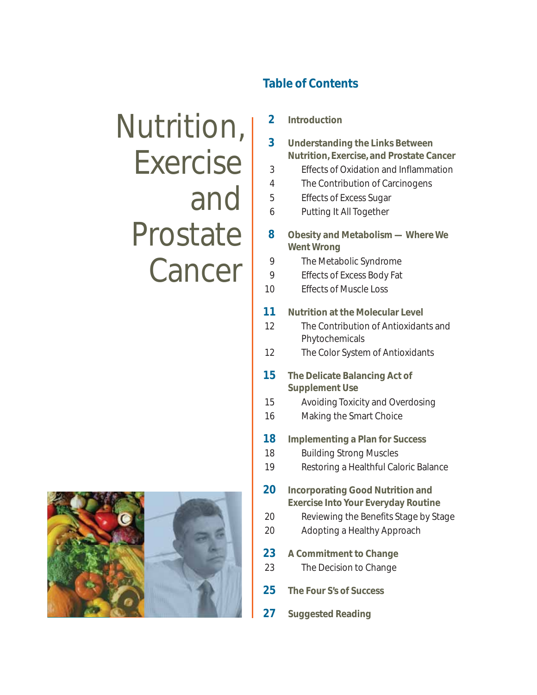# Nutrition, Exercise and Prostate Cancer



# **Table of Contents**

- **2 Introduction**
- **3 Understanding the Links Between Nutrition, Exercise, and Prostate Cancer**
- 3 Effects of Oxidation and Inflammation
- 4 The Contribution of Carcinogens
- 5 Effects of Excess Sugar
- 6 Putting It All Together
- **8 Obesity and Metabolism Where We Went Wrong**
- 9 The Metabolic Syndrome
- 9 Effects of Excess Body Fat
- 10 Effects of Muscle Loss
- **11 Nutrition at the Molecular Level**
- 12 The Contribution of Antioxidants and Phytochemicals
- 12 The Color System of Antioxidants
- **15 The Delicate Balancing Act of Supplement Use**
- 15 Avoiding Toxicity and Overdosing
- 16 Making the Smart Choice
- **18 Implementing a Plan for Success**
- 18 Building Strong Muscles
- 19 Restoring a Healthful Caloric Balance
- **20 Incorporating Good Nutrition and Exercise Into Your Everyday Routine**
- 20 Reviewing the Benefits Stage by Stage
- 20 Adopting a Healthy Approach
- **23 A Commitment to Change** 23 The Decision to Change
- **25 The Four S's of Success**
- **27 Suggested Reading**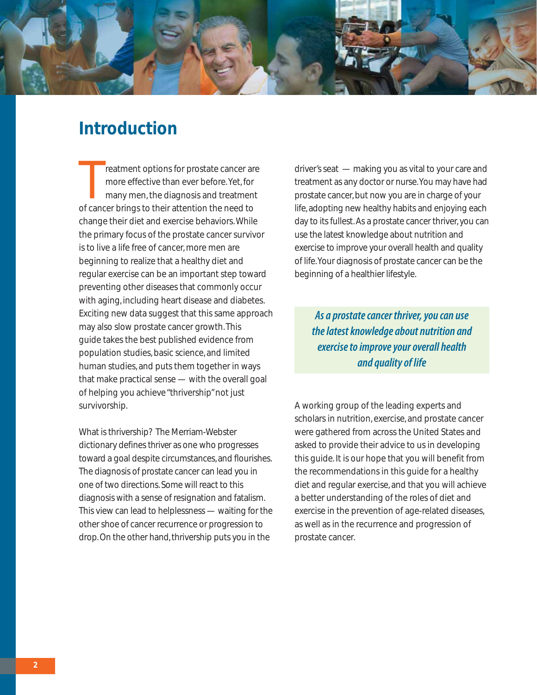

# **Introduction**

reatment options for prostate cancer are more effective than ever before. Yet, for many men, the diagnosis and treatment of cancer brings to their attention the need to change their diet and exercise behaviors. While the primary focus of the prostate cancer survivor is to live a life free of cancer, more men are beginning to realize that a healthy diet and regular exercise can be an important step toward preventing other diseases that commonly occur with aging, including heart disease and diabetes. Exciting new data suggest that this same approach may also slow prostate cancer growth. This guide takes the best published evidence from population studies, basic science, and limited human studies, and puts them together in ways that make practical sense — with the overall goal of helping you achieve "thrivership" not just survivorship.

What is thrivership? The Merriam-Webster dictionary defines *thriver* as one who progresses toward a goal despite circumstances, and flourishes. The diagnosis of prostate cancer can lead you in one of two directions. Some will react to this diagnosis with a sense of resignation and fatalism. This view can lead to helplessness — waiting for the other shoe of cancer recurrence or progression to drop. On the other hand, thrivership puts you in the

driver's seat — making you as vital to your care and treatment as any doctor or nurse. You may have had prostate cancer, but now you are in charge of your life, adopting new healthy habits and enjoying each day to its fullest. As a prostate cancer thriver, you can use the latest knowledge about nutrition and exercise to improve your overall health and quality of life. Your diagnosis of prostate cancer can be the beginning of a healthier lifestyle.

*As a prostate cancer thriver, you can use the latest knowledge about nutrition and exercise to improve your overall health and quality of life*

A working group of the leading experts and scholars in nutrition, exercise, and prostate cancer were gathered from across the United States and asked to provide their advice to us in developing this guide. It is our hope that you will benefit from the recommendations in this guide for a healthy diet and regular exercise, and that you will achieve a better understanding of the roles of diet and exercise in the prevention of age-related diseases, as well as in the recurrence and progression of prostate cancer.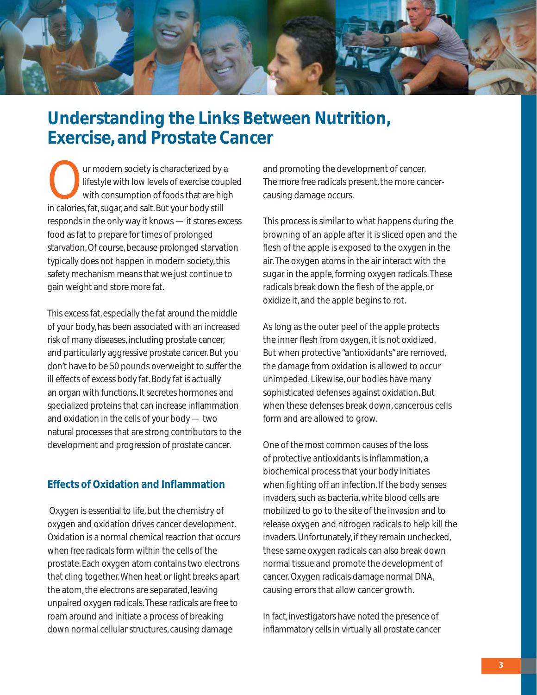

# **Understanding the Links Between Nutrition, Exercise, and Prostate Cancer**

Our modern society is characterized by a<br>lifestyle with low levels of exercise coup<br>with consumption of foods that are high<br>in calories fat sugar and salt But your body still lifestyle with low levels of exercise coupled with consumption of foods that are high in calories, fat, sugar, and salt. But your body still responds in the only way it knows — it stores excess food as fat to prepare for times of prolonged starvation. Of course, because prolonged starvation typically does not happen in modern society, this safety mechanism means that we just continue to gain weight and store more fat.

This excess fat, especially the fat around the middle of your body, has been associated with an increased risk of many diseases, including prostate cancer, and particularly aggressive prostate cancer. But you don't have to be 50 pounds overweight to suffer the ill effects of excess body fat. Body fat is actually an organ with functions. It secretes hormones and specialized proteins that can increase inflammation and oxidation in the cells of your body — two natural processes that are strong contributors to the development and progression of prostate cancer.

# **Effects of Oxidation and Inflammation**

Oxygen is essential to life, but the chemistry of oxygen and oxidation drives cancer development. Oxidation is a normal chemical reaction that occurs when *free radicals* form within the cells of the prostate. Each oxygen atom contains two electrons that cling together. When heat or light breaks apart the atom, the electrons are separated, leaving unpaired oxygen radicals. These radicals are free to roam around and initiate a process of breaking down normal cellular structures, causing damage

and promoting the development of cancer. The more free radicals present, the more cancercausing damage occurs.

This process is similar to what happens during the browning of an apple after it is sliced open and the flesh of the apple is exposed to the oxygen in the air. The oxygen atoms in the air interact with the sugar in the apple, forming oxygen radicals. These radicals break down the flesh of the apple, or oxidize it, and the apple begins to rot.

As long as the outer peel of the apple protects the inner flesh from oxygen, it is not oxidized. But when protective "antioxidants" are removed, the damage from oxidation is allowed to occur unimpeded. Likewise, our bodies have many sophisticated defenses against oxidation. But when these defenses break down, cancerous cells form and are allowed to grow.

One of the most common causes of the loss of protective antioxidants is inflammation, a biochemical process that your body initiates when fighting off an infection. If the body senses invaders, such as bacteria, white blood cells are mobilized to go to the site of the invasion and to release oxygen and nitrogen radicals to help kill the invaders. Unfortunately, if they remain unchecked, these same oxygen radicals can also break down normal tissue and promote the development of cancer. Oxygen radicals damage normal DNA, causing errors that allow cancer growth.

In fact, investigators have noted the presence of inflammatory cells in virtually all prostate cancer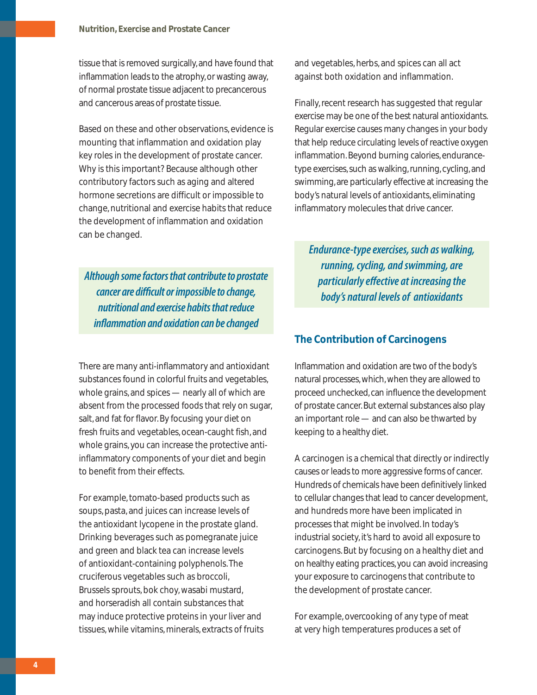tissue that is removed surgically, and have found that inflammation leads to the atrophy, or wasting away, of normal prostate tissue adjacent to precancerous and cancerous areas of prostate tissue.

Based on these and other observations, evidence is mounting that inflammation and oxidation play key roles in the development of prostate cancer. Why is this important? Because although other contributory factors such as aging and altered hormone secretions are difficult or impossible to change, nutritional and exercise habits that reduce the development of inflammation and oxidation can be changed.

*Although some factors that contribute to prostate cancer are difficult or impossible to change, nutritional and exercise habits that reduce inflammation and oxidation can be changed*

There are many anti-inflammatory and antioxidant substances found in colorful fruits and vegetables, whole grains, and spices — nearly all of which are absent from the processed foods that rely on sugar, salt, and fat for flavor. By focusing your diet on fresh fruits and vegetables, ocean-caught fish, and whole grains, you can increase the protective antiinflammatory components of your diet and begin to benefit from their effects.

For example, tomato-based products such as soups, pasta, and juices can increase levels of the antioxidant lycopene in the prostate gland. Drinking beverages such as pomegranate juice and green and black tea can increase levels of antioxidant-containing polyphenols. The cruciferous vegetables such as broccoli, Brussels sprouts, bok choy, wasabi mustard, and horseradish all contain substances that may induce protective proteins in your liver and tissues, while vitamins, minerals, extracts of fruits and vegetables, herbs, and spices can all act against both oxidation and inflammation.

Finally, recent research has suggested that regular exercise may be one of the best natural antioxidants. Regular exercise causes many changes in your body that help reduce circulating levels of reactive oxygen inflammation. Beyond burning calories, endurancetype exercises, such as walking, running, cycling, and swimming, are particularly effective at increasing the body's natural levels of antioxidants, eliminating inflammatory molecules that drive cancer.

*Endurance-type exercises, such as walking, running, cycling, and swimming, are particularly effective at increasing the body's natural levels of antioxidants*

## **The Contribution of Carcinogens**

Inflammation and oxidation are two of the body's natural processes, which, when they are allowed to proceed unchecked, can influence the development of prostate cancer. But external substances also play an important role — and can also be thwarted by keeping to a healthy diet.

A carcinogen is a chemical that directly or indirectly causes or leads to more aggressive forms of cancer. Hundreds of chemicals have been definitively linked to cellular changes that lead to cancer development, and hundreds more have been implicated in processes that might be involved. In today's industrial society, it's hard to avoid all exposure to carcinogens. But by focusing on a healthy diet and on healthy eating practices, you can avoid increasing your exposure to carcinogens that contribute to the development of prostate cancer.

For example, overcooking of any type of meat at very high temperatures produces a set of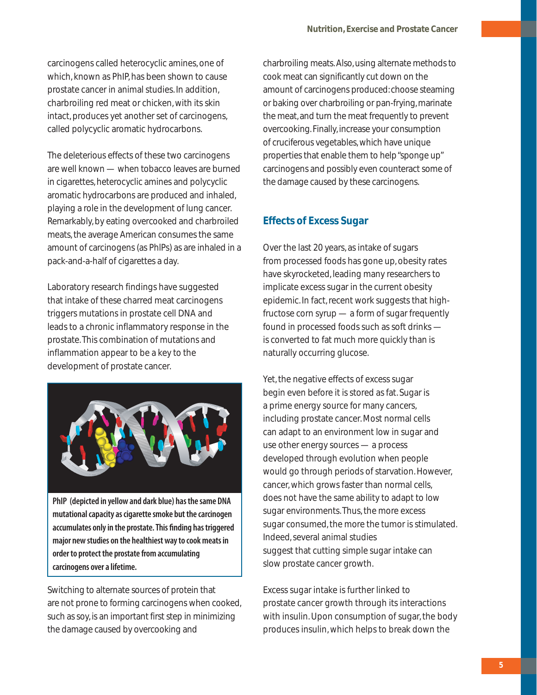carcinogens called heterocyclic amines, one of which, known as PhIP, has been shown to cause prostate cancer in animal studies. In addition, charbroiling red meat or chicken, with its skin intact, produces yet another set of carcinogens, called polycyclic aromatic hydrocarbons.

The deleterious effects of these two carcinogens are well known — when tobacco leaves are burned in cigarettes, heterocyclic amines and polycyclic aromatic hydrocarbons are produced and inhaled, playing a role in the development of lung cancer. Remarkably, by eating overcooked and charbroiled meats, the average American consumes the same amount of carcinogens (as PhlPs) as are inhaled in a pack-and-a-half of cigarettes a day.

Laboratory research findings have suggested that intake of these charred meat carcinogens triggers mutations in prostate cell DNA and leads to a chronic inflammatory response in the prostate. This combination of mutations and inflammation appear to be a key to the development of prostate cancer.



**PhIP (depicted in yellow and dark blue) has the same DNA mutational capacity as cigarette smoke but the carcinogen accumulates only in the prostate. This finding has triggered major new studies on the healthiest way to cook meats in order to protect the prostate from accumulating carcinogens over a lifetime.**

Switching to alternate sources of protein that are not prone to forming carcinogens when cooked, such as soy, is an important first step in minimizing the damage caused by overcooking and

charbroiling meats. Also, using alternate methods to cook meat can significantly cut down on the amount of carcinogens produced: choose steaming or baking over charbroiling or pan-frying, marinate the meat, and turn the meat frequently to prevent overcooking. Finally, increase your consumption of cruciferous vegetables, which have unique properties that enable them to help "sponge up" carcinogens and possibly even counteract some of the damage caused by these carcinogens.

# **Effects of Excess Sugar**

Over the last 20 years, as intake of sugars from processed foods has gone up, obesity rates have skyrocketed, leading many researchers to implicate excess sugar in the current obesity epidemic. In fact, recent work suggests that highfructose corn syrup — a form of sugar frequently found in processed foods such as soft drinks is converted to fat much more quickly than is naturally occurring glucose.

Yet, the negative effects of excess sugar begin even before it is stored as fat. Sugar is a prime energy source for many cancers, including prostate cancer. Most normal cells can adapt to an environment low in sugar and use other energy sources — a process developed through evolution when people would go through periods of starvation. However, cancer, which grows faster than normal cells, does not have the same ability to adapt to low sugar environments. Thus, the more excess sugar consumed, the more the tumor is stimulated. Indeed, several animal studies suggest that cutting simple sugar intake can slow prostate cancer growth.

Excess sugar intake is further linked to prostate cancer growth through its interactions with insulin. Upon consumption of sugar, the body produces insulin, which helps to break down the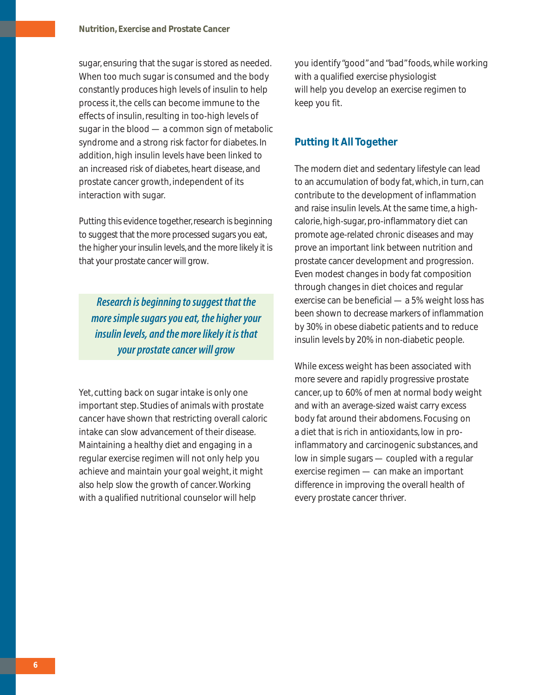sugar, ensuring that the sugar is stored as needed. When too much sugar is consumed and the body constantly produces high levels of insulin to help process it, the cells can become immune to the effects of insulin, resulting in too-high levels of sugar in the blood — a common sign of metabolic syndrome and a strong risk factor for diabetes. In addition, high insulin levels have been linked to an increased risk of diabetes, heart disease, and prostate cancer growth, independent of its interaction with sugar.

Putting this evidence together, research is beginning to suggest that the more processed sugars you eat, the higher your insulin levels, and the more likely it is that your prostate cancer will grow.

*Research is beginning to suggest that the more simple sugars you eat, the higher your insulin levels, and the more likely it is that your prostate cancer will grow*

Yet, cutting back on sugar intake is only one important step. Studies of animals with prostate cancer have shown that restricting overall caloric intake can slow advancement of their disease. Maintaining a healthy diet and engaging in a regular exercise regimen will not only help you achieve and maintain your goal weight, it might also help slow the growth of cancer. Working with a qualified nutritional counselor will help

you identify "good" and "bad" foods, while working with a qualified exercise physiologist will help you develop an exercise regimen to keep you fit.

## **Putting It All Together**

The modern diet and sedentary lifestyle can lead to an accumulation of body fat, which, in turn, can contribute to the development of inflammation and raise insulin levels. At the same time, a highcalorie, high-sugar, pro-inflammatory diet can promote age-related chronic diseases and may prove an important link between nutrition and prostate cancer development and progression. Even modest changes in body fat composition through changes in diet choices and regular exercise can be beneficial — a 5% weight loss has been shown to decrease markers of inflammation by 30% in obese diabetic patients and to reduce insulin levels by 20% in non-diabetic people.

While excess weight has been associated with more severe and rapidly progressive prostate cancer, up to 60% of men at normal body weight and with an average-sized waist carry excess body fat around their abdomens. Focusing on a diet that is rich in antioxidants, low in proinflammatory and carcinogenic substances, and low in simple sugars — coupled with a regular exercise regimen — can make an important difference in improving the overall health of every prostate cancer *thriver*.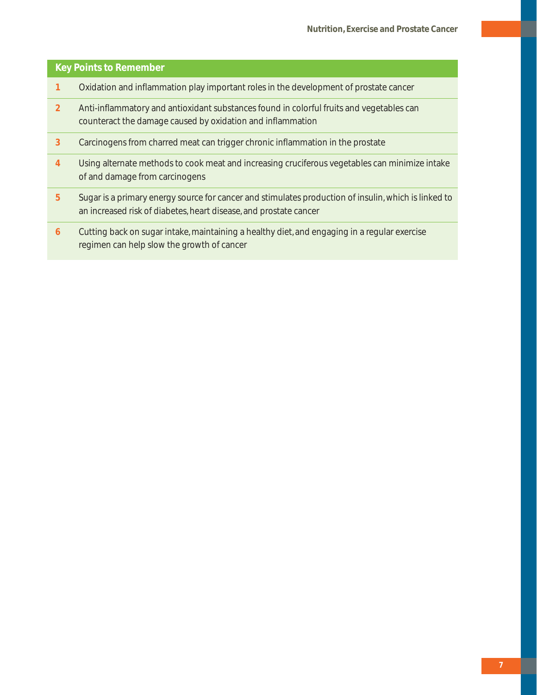**Key Points to Remember**

- **1** Oxidation and inflammation play important roles in the development of prostate cancer
- **2** Anti-inflammatory and antioxidant substances found in colorful fruits and vegetables can counteract the damage caused by oxidation and inflammation
- **3** Carcinogens from charred meat can trigger chronic inflammation in the prostate
- **4** Using alternate methods to cook meat and increasing cruciferous vegetables can minimize intake of and damage from carcinogens
- **5** Sugar is a primary energy source for cancer and stimulates production of insulin, which is linked to an increased risk of diabetes, heart disease, and prostate cancer
- **6** Cutting back on sugar intake, maintaining a healthy diet, and engaging in a regular exercise regimen can help slow the growth of cancer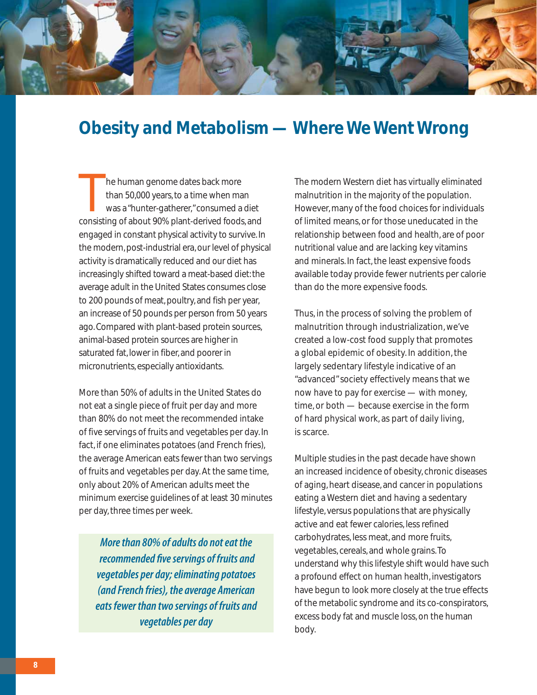

# **Obesity and Metabolism — Where We Went Wrong**

The human genome dates back more<br>than 50,000 years, to a time when ma<br>was a "hunter-gatherer," consumed a<br>consisting of about 90% plant-derived foods than 50,000 years, to a time when man was a "hunter-gatherer," consumed a diet consisting of about 90% plant-derived foods, and engaged in constant physical activity to survive. In the modern, post-industrial era, our level of physical activity is dramatically reduced and our diet has increasingly shifted toward a meat-based diet: the average adult in the United States consumes close to 200 pounds of meat, poultry, and fish per year, an increase of 50 pounds per person from 50 years ago. Compared with plant-based protein sources, animal-based protein sources are higher in saturated fat, lower in fiber, and poorer in micronutrients, especially antioxidants.

More than 50% of adults in the United States do not eat a single piece of fruit per day and more than 80% do not meet the recommended intake of five servings of fruits and vegetables per day. In fact, if one eliminates potatoes (and French fries), the average American eats fewer than two servings of fruits and vegetables per day. At the same time, only about 20% of American adults meet the minimum exercise guidelines of at least 30 minutes per day, three times per week.

*More than 80% of adults do not eat the recommended five servings of fruits and vegetables per day; eliminating potatoes (and French fries), the average American eats fewer than two servings of fruits and vegetables per day*

The modern Western diet has virtually eliminated malnutrition in the majority of the population. However, many of the food choices for individuals of limited means, or for those uneducated in the relationship between food and health, are of poor nutritional value and are lacking key vitamins and minerals. In fact, the least expensive foods available today provide fewer nutrients per calorie than do the more expensive foods.

Thus, in the process of solving the problem of malnutrition through industrialization, we've created a low-cost food supply that promotes a global epidemic of obesity. In addition, the largely sedentary lifestyle indicative of an "advanced" society effectively means that we now have to pay for exercise — with money, time, or both — because exercise in the form of hard physical work, as part of daily living, is scarce.

Multiple studies in the past decade have shown an increased incidence of obesity, chronic diseases of aging, heart disease, and cancer in populations eating a Western diet and having a sedentary lifestyle, versus populations that are physically active and eat fewer calories, less refined carbohydrates, less meat, and more fruits, vegetables, cereals, and whole grains. To understand why this lifestyle shift would have such a profound effect on human health, investigators have begun to look more closely at the true effects of the metabolic syndrome and its co-conspirators, excess body fat and muscle loss, on the human body.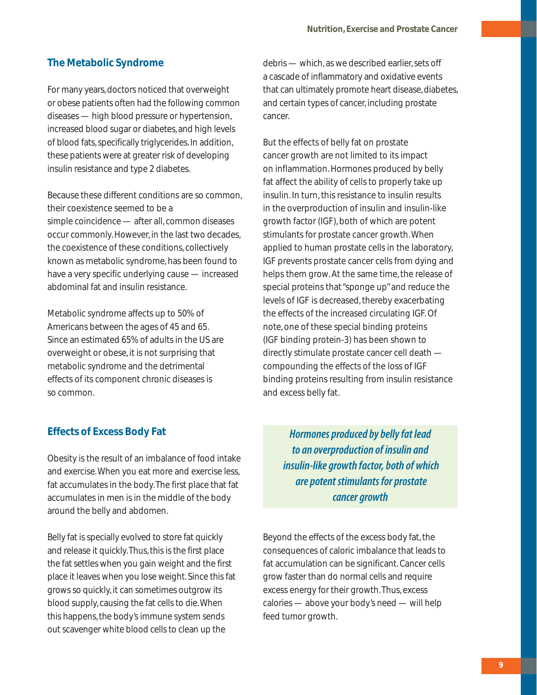# **The Metabolic Syndrome**

For many years, doctors noticed that overweight or obese patients often had the following common diseases — high blood pressure or hypertension, increased blood sugar or diabetes, and high levels of blood fats, specifically triglycerides. In addition, these patients were at greater risk of developing insulin resistance and type 2 diabetes.

Because these different conditions are so common, their coexistence seemed to be a simple coincidence — after all, common diseases occur commonly. However, in the last two decades, the coexistence of these conditions, collectively known as metabolic syndrome, has been found to have a very specific underlying cause — increased abdominal fat and insulin resistance.

Metabolic syndrome affects up to 50% of Americans between the ages of 45 and 65. Since an estimated 65% of adults in the US are overweight or obese, it is not surprising that metabolic syndrome and the detrimental effects of its component chronic diseases is so common.

## **Effects of Excess Body Fat**

Obesity is the result of an imbalance of food intake and exercise. When you eat more and exercise less, fat accumulates in the body. The first place that fat accumulates in men is in the middle of the body around the belly and abdomen.

Belly fat is specially evolved to store fat quickly and release it quickly. Thus, this is the first place the fat settles when you gain weight and the first place it leaves when you lose weight. Since this fat grows so quickly, it can sometimes outgrow its blood supply, causing the fat cells to die. When this happens, the body's immune system sends out scavenger white blood cells to clean up the

debris — which, as we described earlier, sets off a cascade of inflammatory and oxidative events that can ultimately promote heart disease, diabetes, and certain types of cancer, including prostate cancer.

But the effects of belly fat on prostate cancer growth are not limited to its impact on inflammation. Hormones produced by belly fat affect the ability of cells to properly take up insulin. In turn, this resistance to insulin results in the overproduction of insulin and insulin-like growth factor (IGF), both of which are potent stimulants for prostate cancer growth. When applied to human prostate cells in the laboratory, IGF prevents prostate cancer cells from dying and helps them grow. At the same time, the release of special proteins that "sponge up" and reduce the levels of IGF is decreased, thereby exacerbating the effects of the increased circulating IGF. Of note, one of these special binding proteins (IGF binding protein-3) has been shown to directly stimulate prostate cancer cell death compounding the effects of the loss of IGF binding proteins resulting from insulin resistance and excess belly fat.

*Hormones produced by belly fat lead to an overproduction of insulin and insulin-like growth factor, both of which are potent stimulants for prostate cancer growth*

Beyond the effects of the excess body fat, the consequences of caloric imbalance that leads to fat accumulation can be significant. Cancer cells grow faster than do normal cells and require excess energy for their growth. Thus, excess calories — above your body's need — will help feed tumor growth.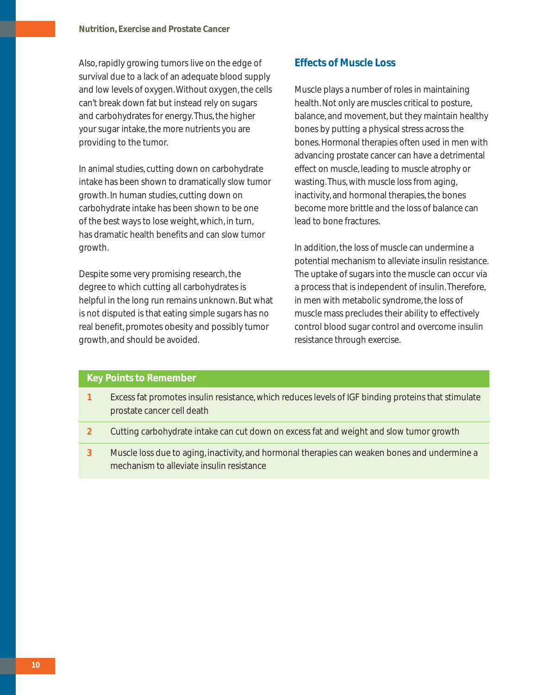Also, rapidly growing tumors live on the edge of survival due to a lack of an adequate blood supply and low levels of oxygen. Without oxygen, the cells can't break down fat but instead rely on sugars and carbohydrates for energy. Thus, the higher your sugar intake, the more nutrients you are providing to the tumor.

In animal studies, cutting down on carbohydrate intake has been shown to dramatically slow tumor growth. In human studies, cutting down on carbohydrate intake has been shown to be one of the best ways to lose weight, which, in turn, has dramatic health benefits and can slow tumor growth.

Despite some very promising research, the degree to which cutting all carbohydrates is helpful in the long run remains unknown. But what is not disputed is that eating simple sugars has no real benefit, promotes obesity and possibly tumor growth, and should be avoided.

## **Effects of Muscle Loss**

Muscle plays a number of roles in maintaining health. Not only are muscles critical to posture, balance, and movement, but they maintain healthy bones by putting a physical stress across the bones. Hormonal therapies often used in men with advancing prostate cancer can have a detrimental effect on muscle, leading to muscle atrophy or wasting. Thus, with muscle loss from aging, inactivity, and hormonal therapies, the bones become more brittle and the loss of balance can lead to bone fractures.

In addition, the loss of muscle can undermine a potential mechanism to alleviate insulin resistance. The uptake of sugars into the muscle can occur via a process that is independent of insulin. Therefore, in men with metabolic syndrome, the loss of muscle mass precludes their ability to effectively control blood sugar control and overcome insulin resistance through exercise.

### **Key Points to Remember**

| Excess fat promotes insulin resistance, which reduces levels of IGF binding proteins that stimulate<br>prostate cancer cell death          |
|--------------------------------------------------------------------------------------------------------------------------------------------|
| Cutting carbohydrate intake can cut down on excess fat and weight and slow tumor growth                                                    |
| Muscle loss due to aging, inactivity, and hormonal therapies can weaken bones and undermine a<br>mechanism to alleviate insulin resistance |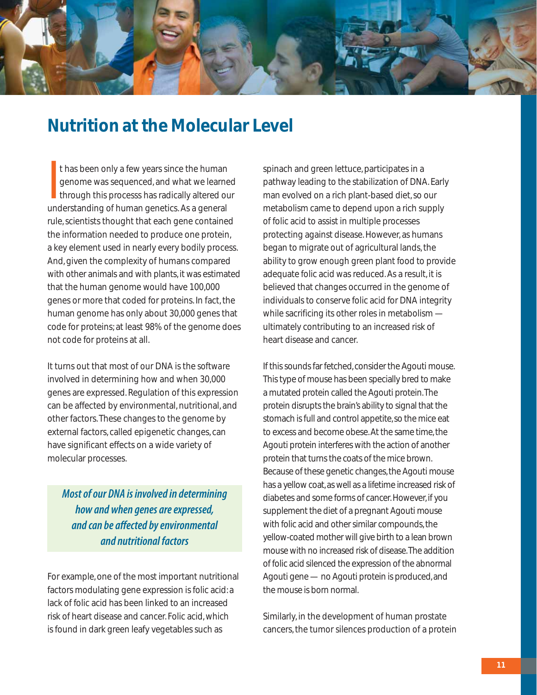

# **Nutrition at the Molecular Level**

t has been only a few years since the human<br>genome was sequenced, and what we learne<br>through this processs has radically altered of<br>understanding of human genetics. As a general t has been only a few years since the human genome was sequenced, and what we learned through this processs has radically altered our rule, scientists thought that each gene contained the information needed to produce one protein, a key element used in nearly every bodily process. And, given the complexity of humans compared with other animals and with plants, it was estimated that the human genome would have 100,000 genes or more that coded for proteins. In fact, the human genome has only about 30,000 genes that code for proteins; at least 98% of the genome does not code for proteins at all.

It turns out that most of our DNA is the *software* involved in determining how and when 30,000 genes are expressed. Regulation of this expression can be affected by environmental, nutritional, and other factors. These changes to the genome by external factors, called epigenetic changes, can have significant effects on a wide variety of molecular processes.

*Most of our DNA is involved in determining how and when genes are expressed, and can be affected by environmental and nutritional factors*

For example, one of the most important nutritional factors modulating gene expression is folic acid: a lack of folic acid has been linked to an increased risk of heart disease and cancer. Folic acid, which is found in dark green leafy vegetables such as

spinach and green lettuce, participates in a pathway leading to the stabilization of DNA. Early man evolved on a rich plant-based diet, so our metabolism came to depend upon a rich supply of folic acid to assist in multiple processes protecting against disease. However, as humans began to migrate out of agricultural lands, the ability to grow enough green plant food to provide adequate folic acid was reduced. As a result, it is believed that changes occurred in the genome of individuals to conserve folic acid for DNA integrity while sacrificing its other roles in metabolism ultimately contributing to an increased risk of heart disease and cancer.

If this sounds far fetched, consider the Agouti mouse. This type of mouse has been specially bred to make a mutated protein called the Agouti protein. The protein disrupts the brain's ability to signal that the stomach is full and control appetite, so the mice eat to excess and become obese. At the same time, the Agouti protein interferes with the action of another protein that turns the coats of the mice brown. Because of these genetic changes, the Agouti mouse has a yellow coat, as well as a lifetime increased risk of diabetes and some forms of cancer. However, if you supplement the diet of a pregnant Agouti mouse with folic acid and other similar compounds, the yellow-coated mother will give birth to a lean brown mouse with no increased risk of disease. The addition of folic acid silenced the expression of the abnormal Agouti gene — no Agouti protein is produced, and the mouse is born normal.

Similarly, in the development of human prostate cancers, the tumor silences production of a protein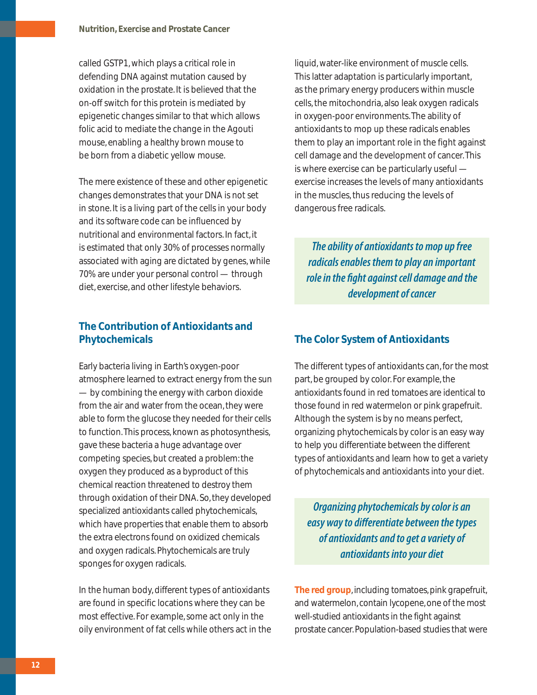called GSTP1, which plays a critical role in defending DNA against mutation caused by oxidation in the prostate. It is believed that the on-off switch for this protein is mediated by epigenetic changes similar to that which allows folic acid to mediate the change in the Agouti mouse, enabling a healthy brown mouse to be born from a diabetic yellow mouse.

The mere existence of these and other epigenetic changes demonstrates that your DNA is not set in stone. It is a living part of the cells in your body and its *software* code can be influenced by nutritional and environmental factors. In fact, it is estimated that only 30% of processes normally associated with aging are dictated by genes, while 70% are under your personal control — through diet, exercise, and other lifestyle behaviors.

# **The Contribution of Antioxidants and Phytochemicals**

Early bacteria living in Earth's oxygen-poor atmosphere learned to extract energy from the sun — by combining the energy with carbon dioxide from the air and water from the ocean, they were able to form the glucose they needed for their cells to function. This process, known as photosynthesis, gave these bacteria a huge advantage over competing species, but created a problem: the oxygen they produced as a byproduct of this chemical reaction threatened to destroy them through oxidation of their DNA. So, they developed specialized antioxidants called phytochemicals, which have properties that enable them to absorb the extra electrons found on oxidized chemicals and oxygen radicals. Phytochemicals are truly sponges for oxygen radicals.

In the human body, different types of antioxidants are found in specific locations where they can be most effective. For example, some act only in the oily environment of fat cells while others act in the liquid, water-like environment of muscle cells. This latter adaptation is particularly important, as the primary energy producers within muscle cells, the mitochondria, also leak oxygen radicals in oxygen-poor environments. The ability of antioxidants to mop up these radicals enables them to play an important role in the fight against cell damage and the development of cancer. This is where exercise can be particularly useful exercise increases the levels of many antioxidants in the muscles, thus reducing the levels of dangerous free radicals.

*The ability of antioxidants to mop up free radicals enables them to play an important role in the fight against cell damage and the development of cancer*

# **The Color System of Antioxidants**

The different types of antioxidants can, for the most part, be grouped by color. For example, the antioxidants found in red tomatoes are identical to those found in red watermelon or pink grapefruit. Although the system is by no means perfect, organizing phytochemicals by color is an easy way to help you differentiate between the different types of antioxidants and learn how to get a variety of phytochemicals and antioxidants into your diet.

*Organizing phytochemicals by color is an easy way to differentiate between the types of antioxidants and to get a variety of antioxidants into your diet*

**The red group**, including tomatoes, pink grapefruit, and watermelon, contain lycopene, one of the most well-studied antioxidants in the fight against prostate cancer. Population-based studies that were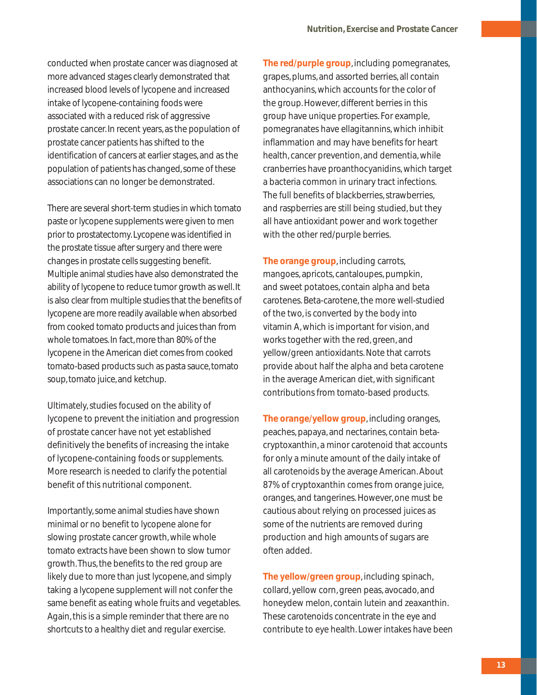conducted when prostate cancer was diagnosed at more advanced stages clearly demonstrated that increased blood levels of lycopene and increased intake of lycopene-containing foods were associated with a reduced risk of aggressive prostate cancer. In recent years, as the population of prostate cancer patients has shifted to the identification of cancers at earlier stages, and as the population of patients has changed, some of these associations can no longer be demonstrated.

There are several short-term studies in which tomato paste or lycopene supplements were given to men prior to prostatectomy. Lycopene was identified in the prostate tissue after surgery and there were changes in prostate cells suggesting benefit. Multiple animal studies have also demonstrated the ability of lycopene to reduce tumor growth as well. It is also clear from multiple studies that the benefits of lycopene are more readily available when absorbed from cooked tomato products and juices than from whole tomatoes. In fact, more than 80% of the lycopene in the American diet comes from cooked tomato-based products such as pasta sauce, tomato soup, tomato juice, and ketchup.

Ultimately, studies focused on the ability of lycopene to prevent the initiation and progression of prostate cancer have not yet established definitively the benefits of increasing the intake of lycopene-containing foods or supplements. More research is needed to clarify the potential benefit of this nutritional component.

Importantly, some animal studies have shown minimal or no benefit to lycopene alone for slowing prostate cancer growth, while whole tomato extracts have been shown to slow tumor growth. Thus, the benefits to the red group are likely due to more than just lycopene, and simply taking a lycopene supplement will not confer the same benefit as eating whole fruits and vegetables. Again, this is a simple reminder that there are no shortcuts to a healthy diet and regular exercise.

**The red/purple group**, including pomegranates, grapes, plums, and assorted berries, all contain anthocyanins, which accounts for the color of the group. However, different berries in this group have unique properties. For example, pomegranates have ellagitannins, which inhibit inflammation and may have benefits for heart health, cancer prevention, and dementia, while cranberries have proanthocyanidins, which target a bacteria common in urinary tract infections. The full benefits of blackberries, strawberries, and raspberries are still being studied, but they all have antioxidant power and work together with the other red/purple berries.

**The orange group**, including carrots, mangoes, apricots, cantaloupes, pumpkin, and sweet potatoes, contain alpha and beta carotenes. Beta-carotene, the more well-studied of the two, is converted by the body into vitamin A, which is important for vision, and works together with the red, green, and yellow/green antioxidants. Note that carrots provide about half the alpha and beta carotene in the average American diet, with significant contributions from tomato-based products.

**The orange/yellow group**, including oranges, peaches, papaya, and nectarines, contain betacryptoxanthin, a minor carotenoid that accounts for only a minute amount of the daily intake of all carotenoids by the average American. About 87% of cryptoxanthin comes from orange juice, oranges, and tangerines. However, one must be cautious about relying on processed juices as some of the nutrients are removed during production and high amounts of sugars are often added.

**The yellow/green group**, including spinach, collard, yellow corn, green peas, avocado, and honeydew melon, contain lutein and zeaxanthin. These carotenoids concentrate in the eye and contribute to eye health. Lower intakes have been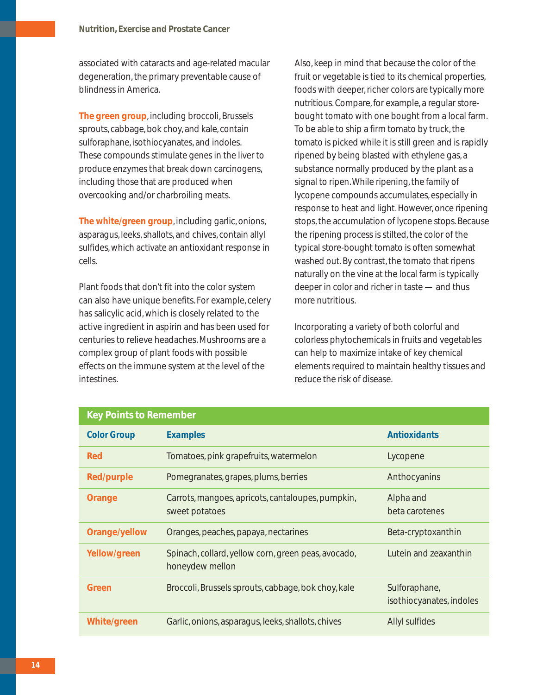associated with cataracts and age-related macular degeneration, the primary preventable cause of blindness in America.

**The green group**, including broccoli, Brussels sprouts, cabbage, bok choy, and kale, contain sulforaphane, isothiocyanates, and indoles. These compounds stimulate genes in the liver to produce enzymes that break down carcinogens, including those that are produced when overcooking and/or charbroiling meats.

**The white/green group**, including garlic, onions, asparagus, leeks, shallots, and chives, contain allyl sulfides, which activate an antioxidant response in cells.

Plant foods that don't fit into the color system can also have unique benefits. For example, celery has salicylic acid, which is closely related to the active ingredient in aspirin and has been used for centuries to relieve headaches. Mushrooms are a complex group of plant foods with possible effects on the immune system at the level of the intestines.

Also, keep in mind that because the color of the fruit or vegetable is tied to its chemical properties, foods with deeper, richer colors are typically more nutritious. Compare, for example, a regular storebought tomato with one bought from a local farm. To be able to ship a firm tomato by truck, the tomato is picked while it is still green and is rapidly ripened by being blasted with ethylene gas, a substance normally produced by the plant as a signal to ripen. While ripening, the family of lycopene compounds accumulates, especially in response to heat and light. However, once ripening stops, the accumulation of lycopene stops. Because the ripening process is stilted, the color of the typical store-bought tomato is often somewhat washed out. By contrast, the tomato that ripens naturally on the vine at the local farm is typically deeper in color and richer in taste — and thus more nutritious.

Incorporating a variety of both colorful and colorless phytochemicals in fruits and vegetables can help to maximize intake of key chemical elements required to maintain healthy tissues and reduce the risk of disease.

| <b>Key Points to Remember</b> |                                                                        |                                           |  |  |
|-------------------------------|------------------------------------------------------------------------|-------------------------------------------|--|--|
| <b>Color Group</b>            | <b>Examples</b>                                                        | <b>Antioxidants</b>                       |  |  |
| <b>Red</b>                    | Tomatoes, pink grapefruits, watermelon                                 | Lycopene                                  |  |  |
| <b>Red/purple</b>             | Pomegranates, grapes, plums, berries                                   | Anthocyanins                              |  |  |
| Orange                        | Carrots, mangoes, apricots, cantaloupes, pumpkin,<br>sweet potatoes    | Alpha and<br>beta carotenes               |  |  |
| Orange/yellow                 | Oranges, peaches, papaya, nectarines                                   | Beta-cryptoxanthin                        |  |  |
| <b>Yellow/green</b>           | Spinach, collard, yellow corn, green peas, avocado,<br>honeydew mellon | Lutein and zeaxanthin                     |  |  |
| Green                         | Broccoli, Brussels sprouts, cabbage, bok choy, kale                    | Sulforaphane,<br>isothiocyanates, indoles |  |  |
| <b>White/green</b>            | Garlic, onions, asparagus, leeks, shallots, chives                     | <b>Allyl sulfides</b>                     |  |  |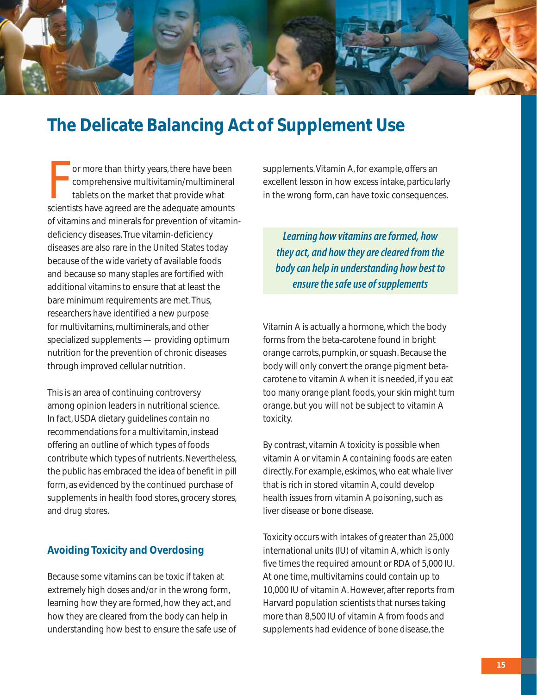

# **The Delicate Balancing Act of Supplement Use**

or more than thirty years, there have been<br>comprehensive multivitamin/multimineral<br>tablets on the market that provide what<br>scientists have agreed are the adequate amounts or more than thirty years, there have been comprehensive multivitamin/multimineral tablets on the market that provide what of vitamins and minerals for prevention of vitamindeficiency diseases. True vitamin-deficiency diseases are also rare in the United States today because of the wide variety of available foods and because so many staples are fortified with additional vitamins to ensure that at least the bare minimum requirements are met. Thus, researchers have identified a new purpose for multivitamins, multiminerals, and other specialized supplements — providing optimum nutrition for the prevention of chronic diseases through improved cellular nutrition.

This is an area of continuing controversy among opinion leaders in nutritional science. In fact, USDA dietary guidelines contain no recommendations for a multivitamin, instead offering an outline of which types of foods contribute which types of nutrients. Nevertheless, the public has embraced the idea of benefit in pill form, as evidenced by the continued purchase of supplements in health food stores, grocery stores, and drug stores.

# **Avoiding Toxicity and Overdosing**

Because some vitamins can be toxic if taken at extremely high doses and/or in the wrong form, learning how they are formed, how they act, and how they are cleared from the body can help in understanding how best to ensure the safe use of supplements. Vitamin A, for example, offers an excellent lesson in how excess intake, particularly in the wrong form, can have toxic consequences.

*Learning how vitamins are formed, how they act, and how they are cleared from the body can help in understanding how best to ensure the safe use of supplements*

Vitamin A is actually a hormone, which the body forms from the beta-carotene found in bright orange carrots, pumpkin, or squash. Because the body will only convert the orange pigment betacarotene to vitamin A when it is needed, if you eat too many orange plant foods, your skin might turn orange, but you will not be subject to vitamin A toxicity.

By contrast, vitamin A toxicity is possible when vitamin A or vitamin A containing foods are eaten directly. For example, eskimos, who eat whale liver that is rich in stored vitamin A, could develop health issues from vitamin A poisoning, such as liver disease or bone disease.

Toxicity occurs with intakes of greater than 25,000 international units (IU) of vitamin A, which is only five times the required amount or RDA of 5,000 IU. At one time, multivitamins could contain up to 10,000 IU of vitamin A. However, after reports from Harvard population scientists that nurses taking more than 8,500 IU of vitamin A from foods and supplements had evidence of bone disease, the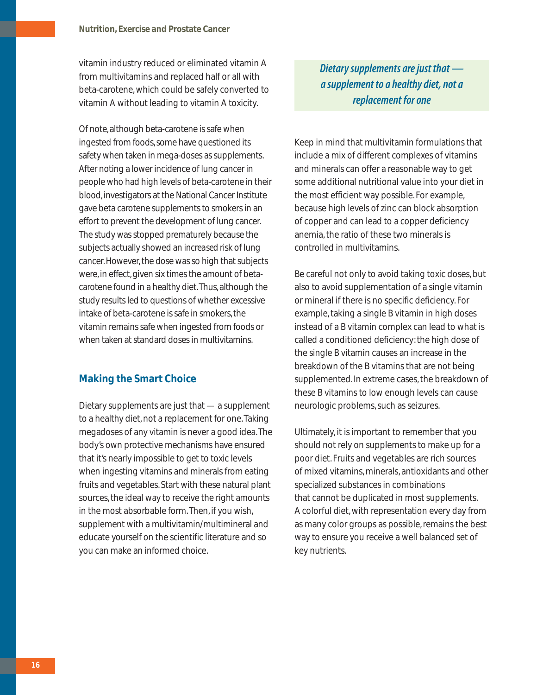vitamin industry reduced or eliminated vitamin A from multivitamins and replaced half or all with beta-carotene, which could be safely converted to vitamin A without leading to vitamin A toxicity.

Of note, although beta-carotene is safe when ingested from foods, some have questioned its safety when taken in mega-doses as supplements. After noting a lower incidence of lung cancer in people who had high levels of beta-carotene in their blood, investigators at the National Cancer Institute gave beta carotene supplements to smokers in an effort to prevent the development of lung cancer. The study was stopped prematurely because the subjects actually showed an *increased* risk of lung cancer. However, the dose was so high that subjects were, in effect, given six times the amount of betacarotene found in a healthy diet. Thus, although the study results led to questions of whether excessive intake of beta-carotene is safe in smokers, the vitamin remains safe when ingested from foods or when taken at standard doses in multivitamins.

## **Making the Smart Choice**

Dietary supplements are just that — a supplement to a healthy diet, not a replacement for one. Taking megadoses of any vitamin is never a good idea. The body's own protective mechanisms have ensured that it's nearly impossible to get to toxic levels when ingesting vitamins and minerals from eating fruits and vegetables. Start with these natural plant sources, the ideal way to receive the right amounts in the most absorbable form. Then, if you wish, supplement with a multivitamin/multimineral and educate yourself on the scientific literature and so you can make an informed choice.

# *Dietary supplements are just that a supplement to a healthy diet, not a replacement for one*

Keep in mind that multivitamin formulations that include a mix of different complexes of vitamins and minerals can offer a reasonable way to get some additional nutritional value into your diet in the most efficient way possible. For example, because high levels of zinc can block absorption of copper and can lead to a copper deficiency anemia, the ratio of these two minerals is controlled in multivitamins.

Be careful not only to avoid taking toxic doses, but also to avoid supplementation of a single vitamin or mineral if there is no specific deficiency. For example, taking a single B vitamin in high doses instead of a B vitamin complex can lead to what is called a conditioned deficiency: the high dose of the single B vitamin causes an increase in the breakdown of the B vitamins that are not being supplemented. In extreme cases, the breakdown of these B vitamins to low enough levels can cause neurologic problems, such as seizures.

Ultimately, it is important to remember that you should not rely on supplements to make up for a poor diet. Fruits and vegetables are rich sources of mixed vitamins, minerals, antioxidants and other specialized substances in combinations that cannot be duplicated in most supplements. A colorful diet, with representation every day from as many color groups as possible, remains the best way to ensure you receive a well balanced set of key nutrients.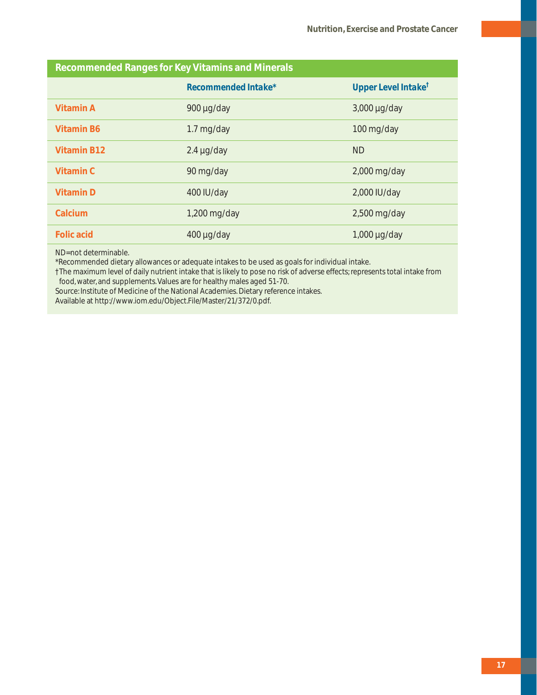| <b>Recommended Ranges for Key Vitamins and Minerals</b> |                     |                                       |  |  |
|---------------------------------------------------------|---------------------|---------------------------------------|--|--|
|                                                         | Recommended Intake* | <b>Upper Level Intake<sup>t</sup></b> |  |  |
| <b>Vitamin A</b>                                        | 900 µg/day          | $3,000 \mu g/day$                     |  |  |
| <b>Vitamin B6</b>                                       | 1.7 mg/day          | 100 mg/day                            |  |  |
| <b>Vitamin B12</b>                                      | $2.4 \mu g/day$     | <b>ND</b>                             |  |  |
| <b>Vitamin C</b>                                        | 90 mg/day           | 2,000 mg/day                          |  |  |
| <b>Vitamin D</b>                                        | 400 IU/day          | 2,000 IU/day                          |  |  |
| Calcium                                                 | 1,200 mg/day        | $2,500$ mg/day                        |  |  |
| <b>Folic acid</b>                                       | 400 µg/day          | $1,000 \mu g/day$                     |  |  |
|                                                         |                     |                                       |  |  |

ND=not determinable.

\*Recommended dietary allowances or adequate intakes to be used as goals for individual intake.

†The maximum level of daily nutrient intake that is likely to pose no risk of adverse effects; represents total intake from food, water, and supplements. Values are for healthy males aged 51-70.

Source: Institute of Medicine of the National Academies. Dietary reference intakes.

Available at http://www.iom.edu/Object.File/Master/21/372/0.pdf.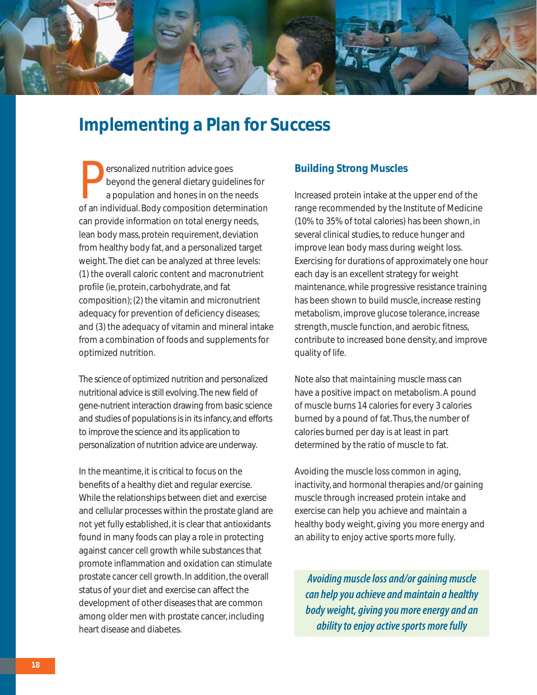

# **Implementing a Plan for Success**

ersonalized nutrition advice goes beyond the general dietary guidelines for a population and hones in on the needs of an individual. Body composition determination can provide information on total energy needs, lean body mass, protein requirement, deviation from healthy body fat, and a personalized target weight. The diet can be analyzed at three levels: (1) the overall caloric content and macronutrient profile (ie, protein, carbohydrate, and fat composition); (2) the vitamin and micronutrient adequacy for prevention of deficiency diseases; and (3) the adequacy of vitamin and mineral intake from a combination of foods and supplements for optimized nutrition.

The science of optimized nutrition and personalized nutritional advice is still evolving. The new field of gene-nutrient interaction drawing from basic science and studies of populations is in its infancy, and efforts to improve the science and its application to personalization of nutrition advice are underway.

In the meantime, it is critical to focus on the benefits of a healthy diet and regular exercise. While the relationships between diet and exercise and cellular processes within the prostate gland are not yet fully established, it is clear that antioxidants found in many foods can play a role in protecting against cancer cell growth while substances that promote inflammation and oxidation can stimulate prostate cancer cell growth. In addition, the overall status of your diet and exercise can affect the development of other diseases that are common among older men with prostate cancer, including heart disease and diabetes.

# **Building Strong Muscles**

Increased protein intake at the upper end of the range recommended by the Institute of Medicine (10% to 35% of total calories) has been shown, in several clinical studies, to reduce hunger and improve lean body mass during weight loss. Exercising for durations of approximately one hour each day is an excellent strategy for weight maintenance, while progressive resistance training has been shown to build muscle, increase resting metabolism, improve glucose tolerance, increase strength, muscle function, and aerobic fitness, contribute to increased bone density, and improve quality of life.

Note also that *maintaining* muscle mass can have a positive impact on metabolism. A pound of muscle burns 14 calories for every 3 calories burned by a pound of fat. Thus, the number of calories burned per day is at least in part determined by the ratio of muscle to fat.

Avoiding the muscle loss common in aging, inactivity, and hormonal therapies and/or gaining muscle through increased protein intake and exercise can help you achieve and maintain a healthy body weight, giving you more energy and an ability to enjoy active sports more fully.

*Avoiding muscle loss and/or gaining muscle can help you achieve and maintain a healthy body weight, giving you more energy and an ability to enjoy active sports more fully*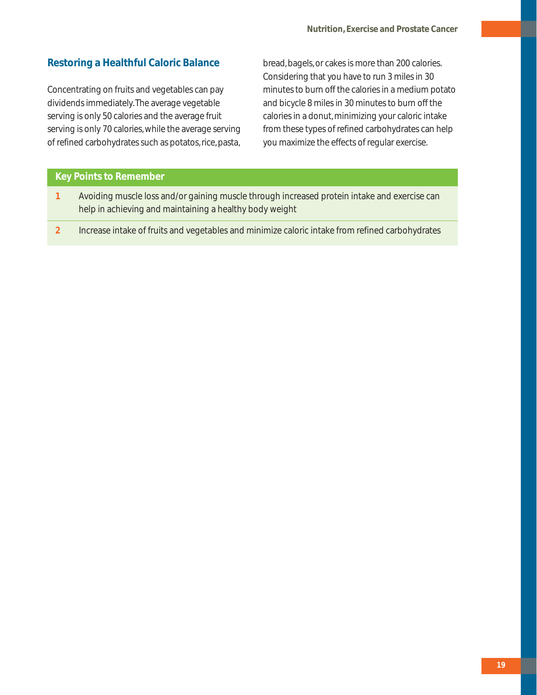# **Restoring a Healthful Caloric Balance**

Concentrating on fruits and vegetables can pay dividends immediately. The average vegetable serving is only 50 calories and the average fruit serving is only 70 calories, while the average serving of refined carbohydrates such as potatos, rice, pasta, bread, bagels, or cakes is more than 200 calories. Considering that you have to run 3 miles in 30 minutes to burn off the calories in a medium potato and bicycle 8 miles in 30 minutes to burn off the calories in a donut, minimizing your caloric intake from these types of refined carbohydrates can help you maximize the effects of regular exercise.

## **Key Points to Remember**

- **1** Avoiding muscle loss and/or gaining muscle through increased protein intake and exercise can help in achieving and maintaining a healthy body weight
- **2** Increase intake of fruits and vegetables and minimize caloric intake from refined carbohydrates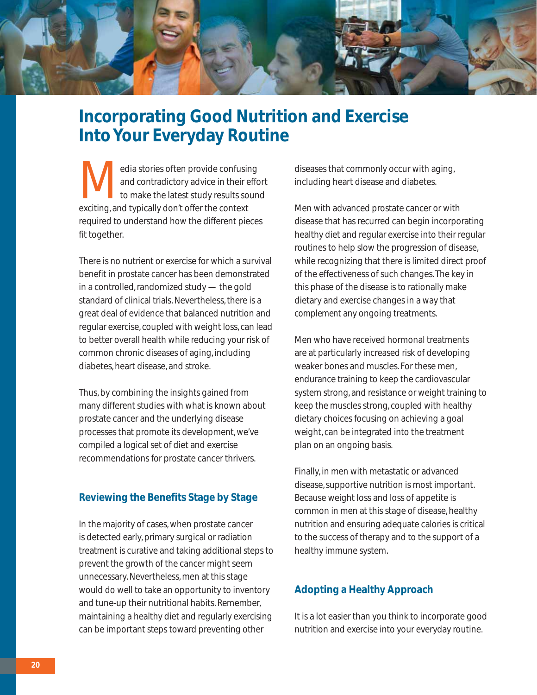

# **Incorporating Good Nutrition and Exercise Into Your Everyday Routine**

edia stories often provide confusing<br>and contradictory advice in their effort<br>or make the latest study results sound exciting and typically don't offer the context and contradictory advice in their effort to make the latest study results sound exciting, and typically don't offer the context required to understand how the different pieces fit together.

There is no nutrient or exercise for which a survival benefit in prostate cancer has been demonstrated in a controlled, randomized study — the gold standard of clinical trials. Nevertheless, there is a great deal of evidence that balanced nutrition and regular exercise, coupled with weight loss, can lead to better overall health while reducing your risk of common chronic diseases of aging, including diabetes, heart disease, and stroke.

Thus, by combining the insights gained from many different studies with what is known about prostate cancer and the underlying disease processes that promote its development, we've compiled a logical set of diet and exercise recommendations for prostate cancer thrivers.

# **Reviewing the Benefits Stage by Stage**

In the majority of cases, when prostate cancer is detected early, primary surgical or radiation treatment is curative and taking additional steps to prevent the growth of the cancer might seem unnecessary. Nevertheless, men at this stage would do well to take an opportunity to inventory and tune-up their nutritional habits. Remember, maintaining a healthy diet and regularly exercising can be important steps toward preventing other

diseases that commonly occur with aging, including heart disease and diabetes.

Men with advanced prostate cancer or with disease that has recurred can begin incorporating healthy diet and regular exercise into their regular routines to help slow the progression of disease, while recognizing that there is limited direct proof of the effectiveness of such changes. The key in this phase of the disease is to rationally make dietary and exercise changes in a way that *complement* any ongoing treatments.

Men who have received hormonal treatments are at particularly increased risk of developing weaker bones and muscles. For these men, endurance training to keep the cardiovascular system strong, and resistance or weight training to keep the muscles strong, coupled with healthy dietary choices focusing on achieving a goal weight, can be integrated into the treatment plan on an ongoing basis.

Finally, in men with metastatic or advanced disease, supportive nutrition is most important. Because weight loss and loss of appetite is common in men at this stage of disease, healthy nutrition and ensuring adequate calories is critical to the success of therapy and to the support of a healthy immune system.

# **Adopting a Healthy Approach**

It is a lot easier than you think to incorporate good nutrition and exercise into your everyday routine.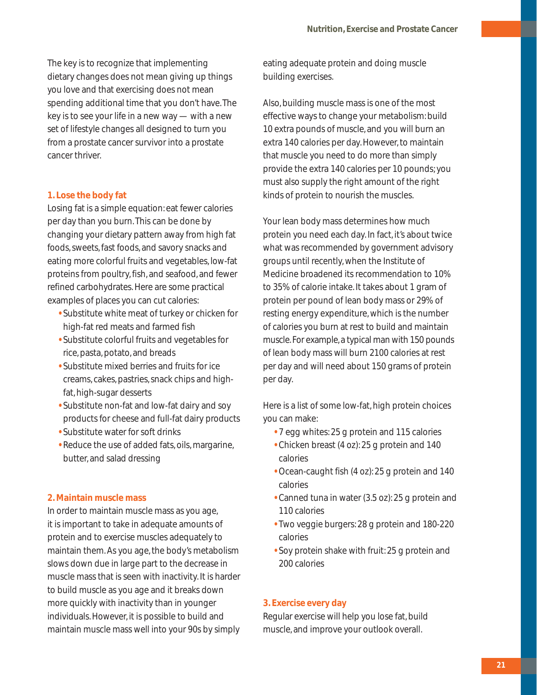The key is to recognize that implementing dietary changes does not mean giving up things you love and that exercising does not mean spending additional time that you don't have. The key is to see your life in a new way — with a new set of lifestyle changes all designed to turn you from a prostate cancer survivor into a prostate cancer thriver.

## **1. Lose the body fat**

Losing fat is a simple equation: eat fewer calories per day than you burn. This can be done by changing your dietary pattern away from high fat foods, sweets, fast foods, and savory snacks and eating more colorful fruits and vegetables, low-fat proteins from poultry, fish, and seafood, and fewer refined carbohydrates. Here are some practical examples of places you can cut calories:

- **•** Substitute white meat of turkey or chicken for high-fat red meats and farmed fish
- **•** Substitute colorful fruits and vegetables for rice, pasta, potato, and breads
- **•** Substitute mixed berries and fruits for ice creams, cakes, pastries, snack chips and highfat, high-sugar desserts
- **•** Substitute non-fat and low-fat dairy and soy products for cheese and full-fat dairy products
- **•** Substitute water for soft drinks
- **•** Reduce the use of added fats, oils, margarine, butter, and salad dressing

### **2. Maintain muscle mass**

In order to maintain muscle mass as you age, it is important to take in adequate amounts of protein and to exercise muscles adequately to maintain them. As you age, the body's metabolism slows down due in large part to the decrease in muscle mass that is seen with inactivity. It is harder to build muscle as you age and it breaks down more quickly with inactivity than in younger individuals. However, it is possible to build and maintain muscle mass well into your 90s by simply eating adequate protein and doing muscle building exercises.

Also, building muscle mass is one of the most effective ways to change your metabolism: build 10 extra pounds of muscle, and you will burn an extra 140 calories per day. However, to maintain that muscle you need to do more than simply provide the extra 140 calories per 10 pounds; you must also supply the right amount of the right kinds of protein to nourish the muscles.

Your lean body mass determines how much protein you need each day. In fact, it's about twice what was recommended by government advisory groups until recently, when the Institute of Medicine broadened its recommendation to 10% to 35% of calorie intake. It takes about 1 gram of protein per pound of lean body mass or 29% of resting energy expenditure, which is the number of calories you burn at rest to build and maintain muscle. For example, a typical man with 150 pounds of lean body mass will burn 2100 calories at rest per day and will need about 150 grams of protein per day.

Here is a list of some low-fat, high protein choices you can make:

- **•** 7 egg whites: 25 g protein and 115 calories
- **•** Chicken breast (4 oz): 25 g protein and 140 calories
- **•** Ocean-caught fish (4 oz): 25 g protein and 140 calories
- **•** Canned tuna in water (3.5 oz): 25 g protein and 110 calories
- **•** Two veggie burgers: 28 g protein and 180-220 calories
- **•** Soy protein shake with fruit: 25 g protein and 200 calories

### **3. Exercise every day**

Regular exercise will help you lose fat, build muscle, and improve your outlook overall.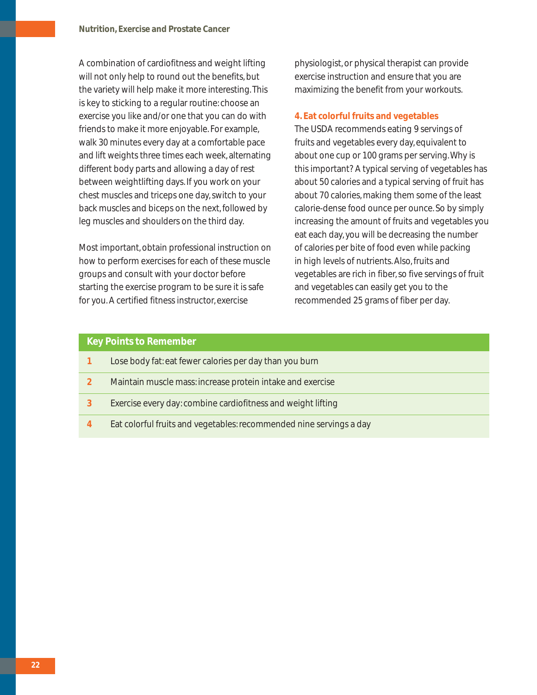A combination of cardiofitness and weight lifting will not only help to round out the benefits, but the variety will help make it more interesting. This is key to sticking to a regular routine: choose an exercise you like and/or one that you can do with friends to make it more enjoyable. For example, walk 30 minutes every day at a comfortable pace and lift weights three times each week, alternating different body parts and allowing a day of rest between weightlifting days. If you work on your chest muscles and triceps one day, switch to your back muscles and biceps on the next, followed by leg muscles and shoulders on the third day.

Most important, obtain professional instruction on how to perform exercises for each of these muscle groups and consult with your doctor before starting the exercise program to be sure it is safe for you. A certified fitness instructor, exercise

physiologist, or physical therapist can provide exercise instruction and ensure that you are maximizing the benefit from your workouts.

#### **4. Eat colorful fruits and vegetables**

The USDA recommends eating 9 servings of fruits and vegetables every day, equivalent to about one cup or 100 grams per serving. Why is this important? A typical serving of vegetables has about 50 calories and a typical serving of fruit has about 70 calories, making them some of the least calorie-dense food ounce per ounce. So by simply increasing the amount of fruits and vegetables you eat each day, you will be decreasing the number of calories per bite of food even while packing in high levels of nutrients. Also, fruits and vegetables are rich in fiber, so five servings of fruit and vegetables can easily get you to the recommended 25 grams of fiber per day.

| <b>Key Points to Remember</b> |                                                                     |  |
|-------------------------------|---------------------------------------------------------------------|--|
|                               | Lose body fat: eat fewer calories per day than you burn             |  |
|                               | Maintain muscle mass: increase protein intake and exercise          |  |
|                               | Exercise every day: combine cardiofitness and weight lifting        |  |
|                               | Eat colorful fruits and vegetables: recommended nine servings a day |  |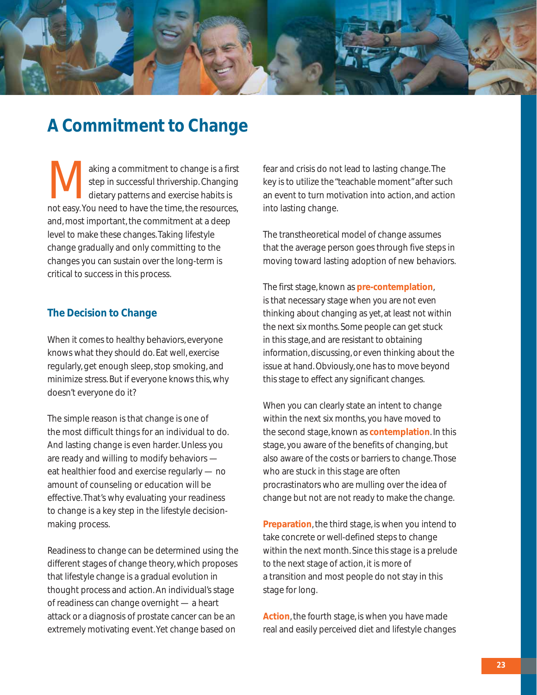

# **A Commitment to Change**

aking a commitment to change is a first<br>step in successful thrivership. Changing<br>dietary patterns and exercise habits is<br>not easy You need to have the time the resources step in successful thrivership. Changing dietary patterns and exercise habits is not easy. You need to have the time, the resources, and, most important, the commitment at a deep level to make these changes. Taking lifestyle change gradually and only committing to the changes you can sustain over the long-term is critical to success in this process.

# **The Decision to Change**

When it comes to healthy behaviors, everyone knows what they should do. Eat well, exercise regularly, get enough sleep, stop smoking, and minimize stress. But if everyone knows this, why doesn't everyone do it?

The simple reason is that change is one of the most difficult things for an individual to do. And lasting change is even harder. Unless you are ready and willing to modify behaviors eat healthier food and exercise regularly — no amount of counseling or education will be effective. That's why evaluating your readiness to change is a key step in the lifestyle decisionmaking process.

Readiness to change can be determined using the different stages of change theory, which proposes that lifestyle change is a gradual evolution in thought process and action. An individual's stage of readiness can change overnight — a heart attack or a diagnosis of prostate cancer can be an extremely motivating event. Yet change based on

fear and crisis do not lead to lasting change. The key is to utilize the "teachable moment" after such an event to turn motivation into action, and action into lasting change.

The transtheoretical model of change assumes that the average person goes through five steps in moving toward lasting adoption of new behaviors.

The first stage, known as **pre-contemplation**, is that necessary stage when you are not even thinking about changing as yet, at least not within the next six months. Some people can get stuck in this stage, and are resistant to obtaining information, discussing, or even thinking about the issue at hand. Obviously, one has to move beyond this stage to effect any significant changes.

When you can clearly state an intent to change within the next six months, you have moved to the second stage, known as **contemplation**. In this stage, you aware of the benefits of changing, but also aware of the costs or barriers to change. Those who are stuck in this stage are often procrastinators who are mulling over the idea of change but not are not ready to make the change.

**Preparation**, the third stage, is when you intend to take concrete or well-defined steps to change within the next month. Since this stage is a prelude to the next stage of action, it is more of a transition and most people do not stay in this stage for long.

**Action**, the fourth stage, is when you have made real and easily perceived diet and lifestyle changes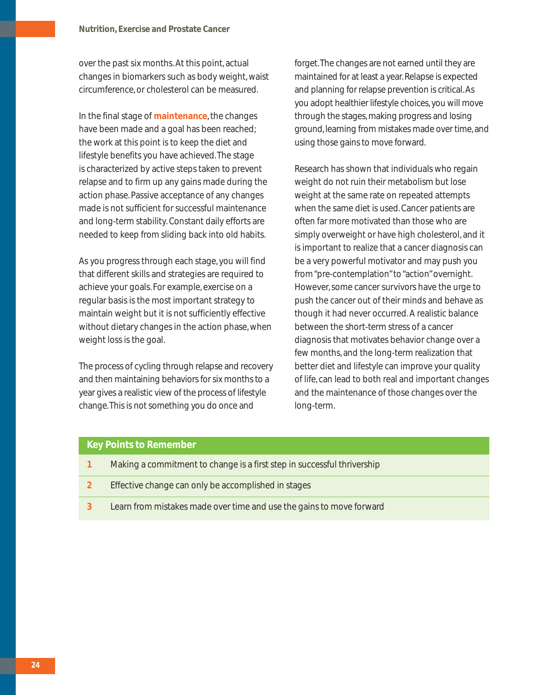over the past six months. At this point, actual changes in biomarkers such as body weight, waist circumference, or cholesterol can be measured.

In the final stage of **maintenance**, the changes have been made and a goal has been reached; the work at this point is to keep the diet and lifestyle benefits you have achieved. The stage is characterized by active steps taken to prevent relapse and to firm up any gains made during the action phase. Passive acceptance of any changes made is not sufficient for successful maintenance and long-term stability. Constant daily efforts are needed to keep from sliding back into old habits.

As you progress through each stage, you will find that different skills and strategies are required to achieve your goals. For example, exercise on a regular basis is the most important strategy to maintain weight but it is not sufficiently effective without dietary changes in the action phase, when weight loss is the goal.

The process of cycling through relapse and recovery and then maintaining behaviors for six months to a year gives a realistic view of the process of lifestyle change. This is not something you do once and

forget. The changes are not earned until they are maintained for at least a year. Relapse is expected and planning for relapse prevention is critical. As you adopt healthier lifestyle choices, you will move through the stages, making progress and losing ground, learning from mistakes made over time, and using those gains to move forward.

Research has shown that individuals who regain weight do not ruin their metabolism but lose weight at the same rate on repeated attempts when the same diet is used. Cancer patients are often far more motivated than those who are simply overweight or have high cholesterol, and it is important to realize that a cancer diagnosis can be a very powerful motivator and may push you from "pre-contemplation" to "action" overnight. However, some cancer survivors have the urge to push the cancer out of their minds and behave as though it had never occurred. A realistic balance between the short-term stress of a cancer diagnosis that motivates behavior change over a few months, and the long-term realization that better diet and lifestyle can improve your quality of life, can lead to both real and important changes and the maintenance of those changes over the long-term.

| <b>Key Points to Remember</b> |                                                                         |  |
|-------------------------------|-------------------------------------------------------------------------|--|
|                               | Making a commitment to change is a first step in successful thrivership |  |
|                               | Effective change can only be accomplished in stages                     |  |
|                               | Learn from mistakes made over time and use the gains to move forward    |  |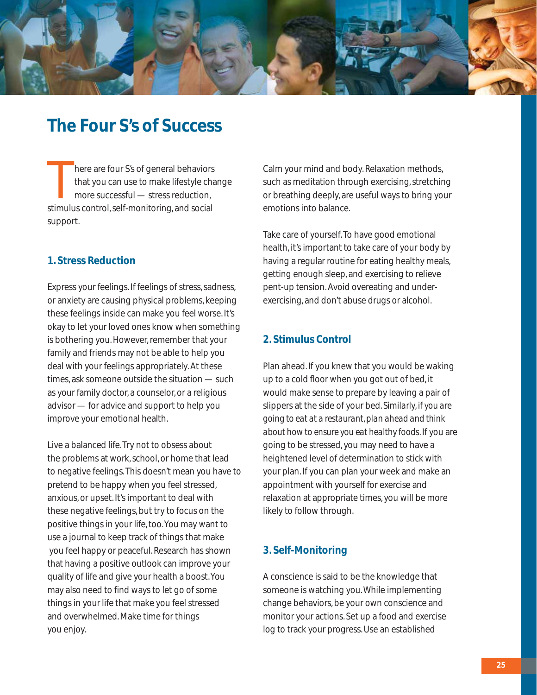

# **The Four S's of Success**

There are four S's of general behaviors<br>that you can use to make lifestyle charaore successful — stress reduction,<br>stimulus control self-monitoring and social that you can use to make lifestyle change more successful — stress reduction, stimulus control, self-monitoring, and social support.

# **1. Stress Reduction**

Express your feelings. If feelings of stress, sadness, or anxiety are causing physical problems, keeping these feelings inside can make you feel worse. It's okay to let your loved ones know when something is bothering you. However, remember that your family and friends may not be able to help you deal with your feelings appropriately. At these times, ask someone outside the situation — such as your family doctor, a counselor, or a religious advisor — for advice and support to help you improve your emotional health.

Live a balanced life. Try not to obsess about the problems at work, school, or home that lead to negative feelings. This doesn't mean you have to pretend to be happy when you feel stressed, anxious, or upset. It's important to deal with these negative feelings, but try to focus on the positive things in your life, too. You may want to use a journal to keep track of things that make you feel happy or peaceful. Research has shown that having a positive outlook can improve your quality of life and give your health a boost. You may also need to find ways to let go of some things in your life that make you feel stressed and overwhelmed. Make time for things you enjoy.

Calm your mind and body. Relaxation methods, such as meditation through exercising, stretching or breathing deeply, are useful ways to bring your emotions into balance.

Take care of yourself. To have good emotional health, it's important to take care of your body by having a regular routine for eating healthy meals, getting enough sleep, and exercising to relieve pent-up tension. Avoid overeating and underexercising, and don't abuse drugs or alcohol.

## **2. Stimulus Control**

Plan ahead. If you knew that you would be waking up to a cold floor when you got out of bed, it would make sense to prepare by leaving a pair of slippers at the side of your bed. *Similarly, if you are going to eat at a restaurant, plan ahead and think about how to ensure you eat healthy foods*. If you are going to be stressed, you may need to have a heightened level of determination to stick with your plan. If you can plan your week and make an appointment with yourself for exercise and relaxation at appropriate times, you will be more likely to follow through.

## **3. Self-Monitoring**

A conscience is said to be the knowledge that someone is watching you. While implementing change behaviors, be your own conscience and monitor your actions. Set up a food and exercise log to track your progress. Use an established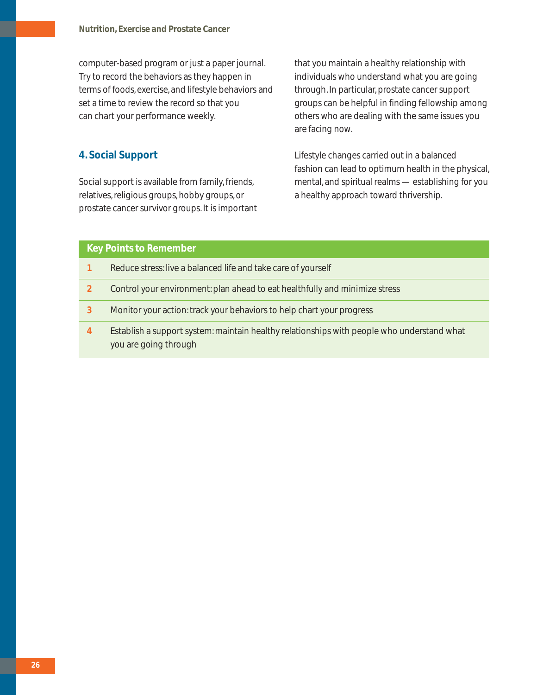computer-based program or just a paper journal. Try to record the behaviors as they happen in terms of foods, exercise, and lifestyle behaviors and set a time to review the record so that you can chart your performance weekly.

**4. Social Support**

Social support is available from family, friends, relatives, religious groups, hobby groups, or prostate cancer survivor groups. It is important

that you maintain a healthy relationship with individuals who understand what you are going through. In particular, prostate cancer support groups can be helpful in finding fellowship among others who are dealing with the same issues you are facing now.

Lifestyle changes carried out in a balanced fashion can lead to optimum health in the physical, mental, and spiritual realms — establishing for you a healthy approach toward thrivership.

| <b>Key Points to Remember</b> |                                                                                                                     |  |
|-------------------------------|---------------------------------------------------------------------------------------------------------------------|--|
|                               | Reduce stress: live a balanced life and take care of yourself                                                       |  |
|                               | Control your environment: plan ahead to eat healthfully and minimize stress                                         |  |
| 3                             | Monitor your action: track your behaviors to help chart your progress                                               |  |
| 4                             | Establish a support system: maintain healthy relationships with people who understand what<br>you are going through |  |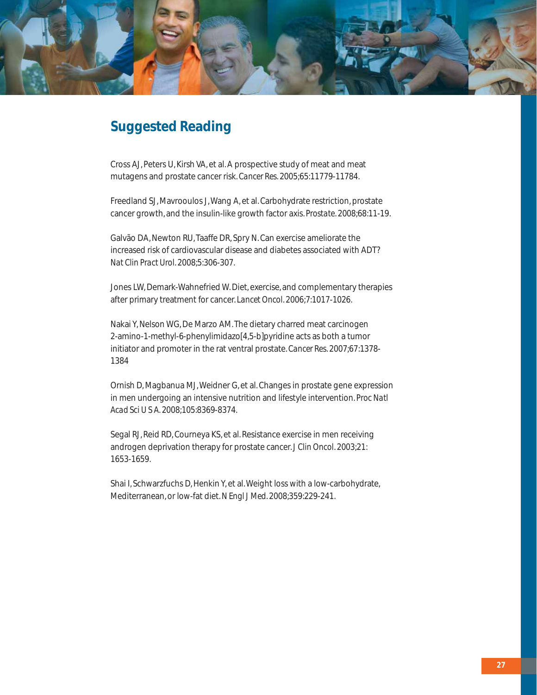

# **Suggested Reading**

Cross AJ, Peters U, Kirsh VA, et al. A prospective study of meat and meat mutagens and prostate cancer risk. *Cancer Res*. 2005;65:11779-11784.

Freedland SJ, Mavrooulos J, Wang A, et al. Carbohydrate restriction, prostate cancer growth, and the insulin-like growth factor axis. *Prostate*. 2008;68:11-19.

Galvão DA, Newton RU, Taaffe DR, Spry N. Can exercise ameliorate the increased risk of cardiovascular disease and diabetes associated with ADT? *Nat Clin Pract Urol*. 2008;5:306-307.

Jones LW, Demark-Wahnefried W. Diet, exercise, and complementary therapies after primary treatment for cancer. *Lancet Oncol*. 2006;7:1017-1026.

Nakai Y, Nelson WG, De Marzo AM. The dietary charred meat carcinogen 2-amino-1-methyl-6-phenylimidazo[4,5-b]pyridine acts as both a tumor initiator and promoter in the rat ventral prostate. *Cancer Res*. 2007;67:1378- 1384

Ornish D, Magbanua MJ, Weidner G, et al. Changes in prostate gene expression in men undergoing an intensive nutrition and lifestyle intervention. *Proc Natl Acad Sci U S A*. 2008;105:8369-8374.

Segal RJ, Reid RD, Courneya KS, et al. Resistance exercise in men receiving androgen deprivation therapy for prostate cancer. *J Clin Oncol*. 2003;21: 1653-1659.

Shai I, Schwarzfuchs D, Henkin Y, et al. Weight loss with a low-carbohydrate, Mediterranean, or low-fat diet. *N Engl J Med*. 2008;359:229-241.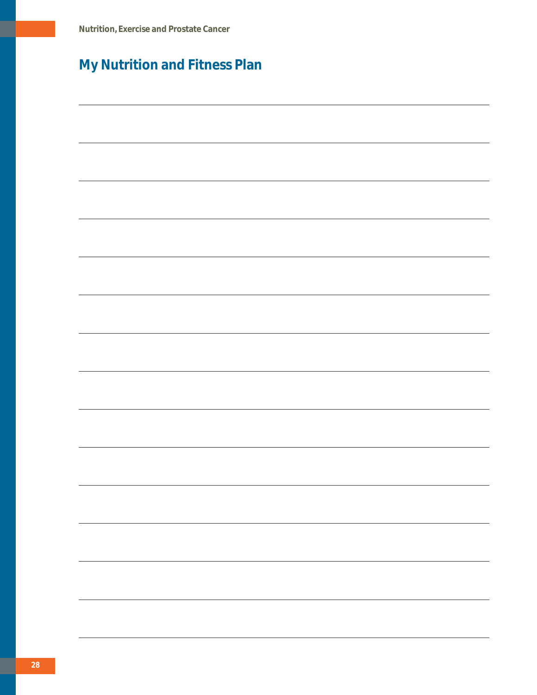# **My Nutrition and Fitness Plan**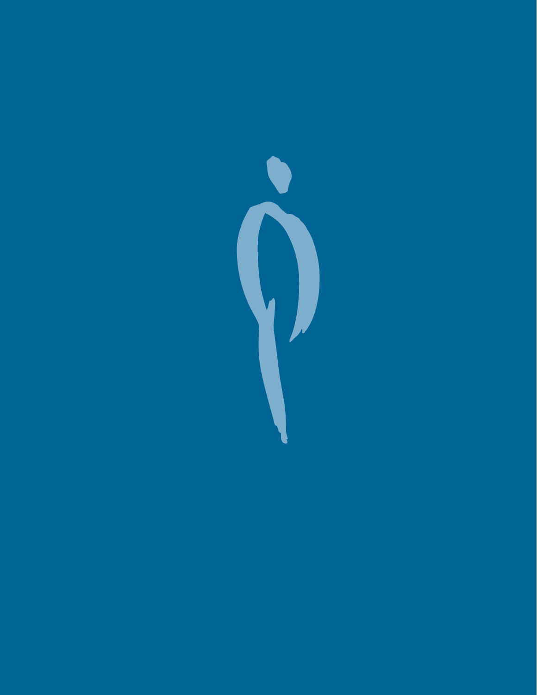